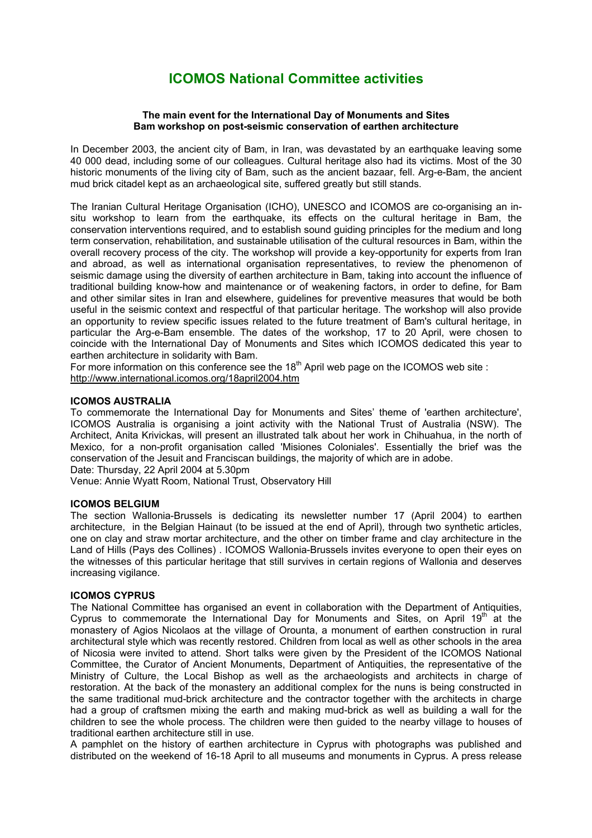# **ICOMOS National Committee activities**

## **The main event for the International Day of Monuments and Sites Bam workshop on post-seismic conservation of earthen architecture**

In December 2003, the ancient city of Bam, in Iran, was devastated by an earthquake leaving some 40 000 dead, including some of our colleagues. Cultural heritage also had its victims. Most of the 30 historic monuments of the living city of Bam, such as the ancient bazaar, fell. Arg-e-Bam, the ancient mud brick citadel kept as an archaeological site, suffered greatly but still stands.

The Iranian Cultural Heritage Organisation (ICHO), UNESCO and ICOMOS are co-organising an insitu workshop to learn from the earthquake, its effects on the cultural heritage in Bam, the conservation interventions required, and to establish sound guiding principles for the medium and long term conservation, rehabilitation, and sustainable utilisation of the cultural resources in Bam, within the overall recovery process of the city. The workshop will provide a key-opportunity for experts from Iran and abroad, as well as international organisation representatives, to review the phenomenon of seismic damage using the diversity of earthen architecture in Bam, taking into account the influence of traditional building know-how and maintenance or of weakening factors, in order to define, for Bam and other similar sites in Iran and elsewhere, guidelines for preventive measures that would be both useful in the seismic context and respectful of that particular heritage. The workshop will also provide an opportunity to review specific issues related to the future treatment of Bam's cultural heritage, in particular the Arg-e-Bam ensemble. The dates of the workshop, 17 to 20 April, were chosen to coincide with the International Day of Monuments and Sites which ICOMOS dedicated this year to earthen architecture in solidarity with Bam.

For more information on this conference see the 18<sup>th</sup> April web page on the ICOMOS web site : http://www.international.icomos.org/18april2004.htm

## **ICOMOS AUSTRALIA**

To commemorate the International Day for Monuments and Sites' theme of 'earthen architecture', ICOMOS Australia is organising a joint activity with the National Trust of Australia (NSW). The Architect, Anita Krivickas, will present an illustrated talk about her work in Chihuahua, in the north of Mexico, for a non-profit organisation called 'Misiones Coloniales'. Essentially the brief was the conservation of the Jesuit and Franciscan buildings, the majority of which are in adobe.

Date: Thursday, 22 April 2004 at 5.30pm

Venue: Annie Wyatt Room, National Trust, Observatory Hill

## **ICOMOS BELGIUM**

The section Wallonia-Brussels is dedicating its newsletter number 17 (April 2004) to earthen architecture, in the Belgian Hainaut (to be issued at the end of April), through two synthetic articles, one on clay and straw mortar architecture, and the other on timber frame and clay architecture in the Land of Hills (Pays des Collines) . ICOMOS Wallonia-Brussels invites everyone to open their eyes on the witnesses of this particular heritage that still survives in certain regions of Wallonia and deserves increasing vigilance.

# **ICOMOS CYPRUS**

The National Committee has organised an event in collaboration with the Department of Antiquities, Cyprus to commemorate the International Day for Monuments and Sites, on April  $19<sup>th</sup>$  at the monastery of Agios Nicolaos at the village of Orounta, a monument of earthen construction in rural architectural style which was recently restored. Children from local as well as other schools in the area of Nicosia were invited to attend. Short talks were given by the President of the ICOMOS National Committee, the Curator of Ancient Monuments, Department of Antiquities, the representative of the Ministry of Culture, the Local Bishop as well as the archaeologists and architects in charge of restoration. At the back of the monastery an additional complex for the nuns is being constructed in the same traditional mud-brick architecture and the contractor together with the architects in charge had a group of craftsmen mixing the earth and making mud-brick as well as building a wall for the children to see the whole process. The children were then guided to the nearby village to houses of traditional earthen architecture still in use.

A pamphlet on the history of earthen architecture in Cyprus with photographs was published and distributed on the weekend of 16-18 April to all museums and monuments in Cyprus. A press release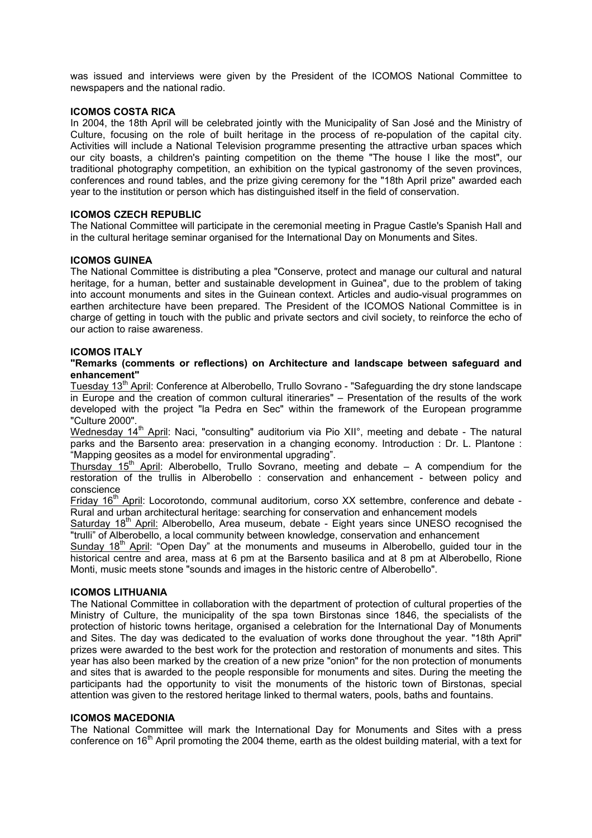was issued and interviews were given by the President of the ICOMOS National Committee to newspapers and the national radio.

## **ICOMOS COSTA RICA**

In 2004, the 18th April will be celebrated jointly with the Municipality of San José and the Ministry of Culture, focusing on the role of built heritage in the process of re-population of the capital city. Activities will include a National Television programme presenting the attractive urban spaces which our city boasts, a children's painting competition on the theme "The house I like the most", our traditional photography competition, an exhibition on the typical gastronomy of the seven provinces, conferences and round tables, and the prize giving ceremony for the "18th April prize" awarded each year to the institution or person which has distinguished itself in the field of conservation.

## **ICOMOS CZECH REPUBLIC**

The National Committee will participate in the ceremonial meeting in Prague Castle's Spanish Hall and in the cultural heritage seminar organised for the International Day on Monuments and Sites.

## **ICOMOS GUINEA**

The National Committee is distributing a plea "Conserve, protect and manage our cultural and natural heritage, for a human, better and sustainable development in Guinea", due to the problem of taking into account monuments and sites in the Guinean context. Articles and audio-visual programmes on earthen architecture have been prepared. The President of the ICOMOS National Committee is in charge of getting in touch with the public and private sectors and civil society, to reinforce the echo of our action to raise awareness.

#### **ICOMOS ITALY**

#### **"Remarks (comments or reflections) on Architecture and landscape between safeguard and enhancement"**

Tuesday 13<sup>th</sup> April: Conference at Alberobello, Trullo Sovrano - "Safeguarding the dry stone landscape in Europe and the creation of common cultural itineraries" – Presentation of the results of the work developed with the project "la Pedra en Sec" within the framework of the European programme "Culture 2000".

Wednesday 14<sup>th</sup> April: Naci, "consulting" auditorium via Pio XII°, meeting and debate - The natural parks and the Barsento area: preservation in a changing economy. Introduction : Dr. L. Plantone : "Mapping geosites as a model for environmental upgrading".

Thursday  $15<sup>th</sup>$  April: Alberobello, Trullo Sovrano, meeting and debate – A compendium for the restoration of the trullis in Alberobello : conservation and enhancement - between policy and conscience

Friday 16<sup>th</sup> April: Locorotondo, communal auditorium, corso XX settembre, conference and debate -Rural and urban architectural heritage: searching for conservation and enhancement models

Saturday  $18<sup>th</sup>$  April: Alberobello, Area museum, debate - Eight years since UNESO recognised the "trulli" of Alberobello, a local community between knowledge, conservation and enhancement

Sunday 18<sup>th</sup> April: "Open Day" at the monuments and museums in Alberobello, guided tour in the historical centre and area, mass at 6 pm at the Barsento basilica and at 8 pm at Alberobello, Rione Monti, music meets stone "sounds and images in the historic centre of Alberobello".

# **ICOMOS LITHUANIA**

The National Committee in collaboration with the department of protection of cultural properties of the Ministry of Culture, the municipality of the spa town Birstonas since 1846, the specialists of the protection of historic towns heritage, organised a celebration for the International Day of Monuments and Sites. The day was dedicated to the evaluation of works done throughout the year. "18th April" prizes were awarded to the best work for the protection and restoration of monuments and sites. This year has also been marked by the creation of a new prize "onion" for the non protection of monuments and sites that is awarded to the people responsible for monuments and sites. During the meeting the participants had the opportunity to visit the monuments of the historic town of Birstonas, special attention was given to the restored heritage linked to thermal waters, pools, baths and fountains.

#### **ICOMOS MACEDONIA**

The National Committee will mark the International Day for Monuments and Sites with a press conference on  $16<sup>th</sup>$  April promoting the 2004 theme, earth as the oldest building material, with a text for